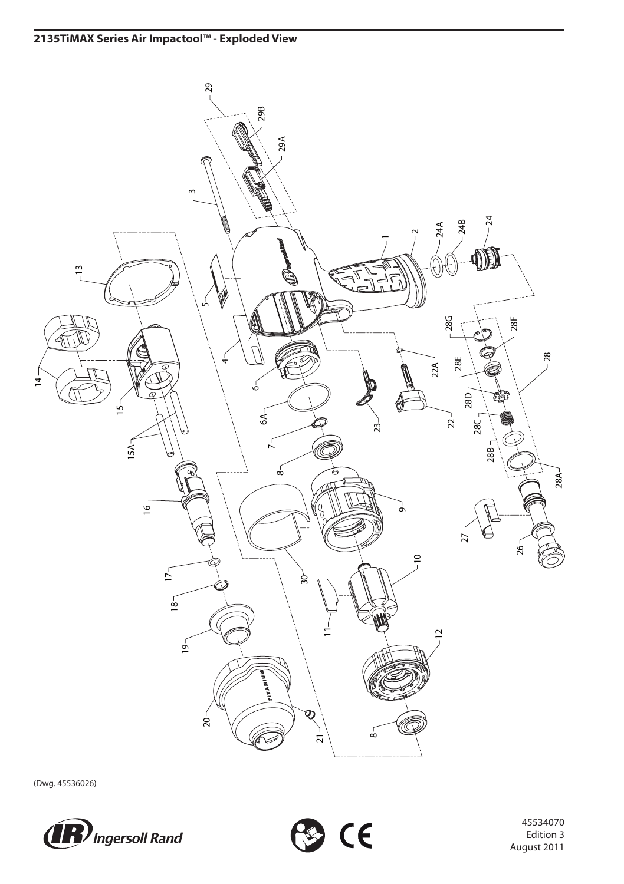

(Dwg. 45536026)





 Edition 3 August 2011